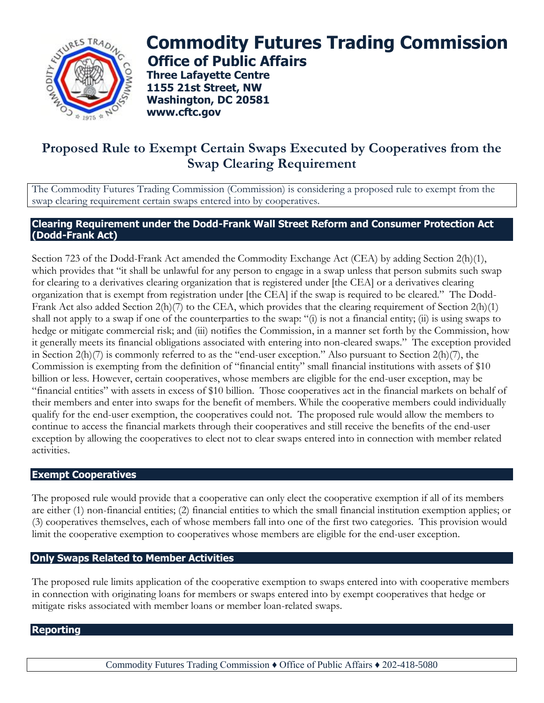

# **Commodity Futures Trading Commission Office of Public Affairs**

**Three Lafayette Centre 1155 21st Street, NW Washington, DC 20581 www.cftc.gov**

## **Proposed Rule to Exempt Certain Swaps Executed by Cooperatives from the Swap Clearing Requirement**

The Commodity Futures Trading Commission (Commission) is considering a proposed rule to exempt from the swap clearing requirement certain swaps entered into by cooperatives.

#### **Clearing Requirement under the Dodd-Frank Wall Street Reform and Consumer Protection Act (Dodd-Frank Act)**

Section 723 of the Dodd-Frank Act amended the Commodity Exchange Act (CEA) by adding Section 2(h)(1), which provides that "it shall be unlawful for any person to engage in a swap unless that person submits such swap for clearing to a derivatives clearing organization that is registered under [the CEA] or a derivatives clearing organization that is exempt from registration under [the CEA] if the swap is required to be cleared." The Dodd-Frank Act also added Section 2(h)(7) to the CEA, which provides that the clearing requirement of Section 2(h)(1) shall not apply to a swap if one of the counterparties to the swap: "(i) is not a financial entity; (ii) is using swaps to hedge or mitigate commercial risk; and (iii) notifies the Commission, in a manner set forth by the Commission, how it generally meets its financial obligations associated with entering into non-cleared swaps." The exception provided in Section 2(h)(7) is commonly referred to as the "end-user exception." Also pursuant to Section 2(h)(7), the Commission is exempting from the definition of "financial entity" small financial institutions with assets of \$10 billion or less. However, certain cooperatives, whose members are eligible for the end-user exception, may be "financial entities" with assets in excess of \$10 billion. Those cooperatives act in the financial markets on behalf of their members and enter into swaps for the benefit of members. While the cooperative members could individually qualify for the end-user exemption, the cooperatives could not. The proposed rule would allow the members to continue to access the financial markets through their cooperatives and still receive the benefits of the end-user exception by allowing the cooperatives to elect not to clear swaps entered into in connection with member related activities.

#### **Exempt Cooperatives**

The proposed rule would provide that a cooperative can only elect the cooperative exemption if all of its members are either (1) non-financial entities; (2) financial entities to which the small financial institution exemption applies; or (3) cooperatives themselves, each of whose members fall into one of the first two categories. This provision would limit the cooperative exemption to cooperatives whose members are eligible for the end-user exception.

### **Only Swaps Related to Member Activities**

The proposed rule limits application of the cooperative exemption to swaps entered into with cooperative members in connection with originating loans for members or swaps entered into by exempt cooperatives that hedge or mitigate risks associated with member loans or member loan-related swaps.

#### **Reporting**

Commodity Futures Trading Commission ♦ Office of Public Affairs ♦ 202-418-5080